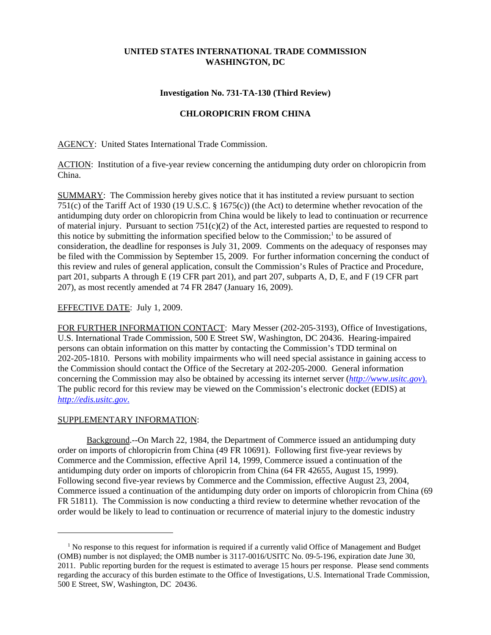## **UNITED STATES INTERNATIONAL TRADE COMMISSION WASHINGTON, DC**

#### **Investigation No. 731-TA-130 (Third Review)**

### **CHLOROPICRIN FROM CHINA**

AGENCY: United States International Trade Commission.

ACTION: Institution of a five-year review concerning the antidumping duty order on chloropicrin from China.

SUMMARY: The Commission hereby gives notice that it has instituted a review pursuant to section 751(c) of the Tariff Act of 1930 (19 U.S.C. § 1675(c)) (the Act) to determine whether revocation of the antidumping duty order on chloropicrin from China would be likely to lead to continuation or recurrence of material injury. Pursuant to section  $751(c)(2)$  of the Act, interested parties are requested to respond to this notice by submitting the information specified below to the Commission;<sup>1</sup> to be assured of consideration, the deadline for responses is July 31, 2009. Comments on the adequacy of responses may be filed with the Commission by September 15, 2009. For further information concerning the conduct of this review and rules of general application, consult the Commission's Rules of Practice and Procedure, part 201, subparts A through E (19 CFR part 201), and part 207, subparts A, D, E, and F (19 CFR part 207), as most recently amended at 74 FR 2847 (January 16, 2009).

#### EFFECTIVE DATE: July 1, 2009.

FOR FURTHER INFORMATION CONTACT: Mary Messer (202-205-3193), Office of Investigations, U.S. International Trade Commission, 500 E Street SW, Washington, DC 20436. Hearing-impaired persons can obtain information on this matter by contacting the Commission's TDD terminal on 202-205-1810. Persons with mobility impairments who will need special assistance in gaining access to the Commission should contact the Office of the Secretary at 202-205-2000. General information concerning the Commission may also be obtained by accessing its internet server (*http://www.usitc.gov*). The public record for this review may be viewed on the Commission's electronic docket (EDIS) at *http://edis.usitc.gov*.

#### SUPPLEMENTARY INFORMATION:

Background.--On March 22, 1984, the Department of Commerce issued an antidumping duty order on imports of chloropicrin from China (49 FR 10691). Following first five-year reviews by Commerce and the Commission, effective April 14, 1999, Commerce issued a continuation of the antidumping duty order on imports of chloropicrin from China (64 FR 42655, August 15, 1999). Following second five-year reviews by Commerce and the Commission, effective August 23, 2004, Commerce issued a continuation of the antidumping duty order on imports of chloropicrin from China (69 FR 51811). The Commission is now conducting a third review to determine whether revocation of the order would be likely to lead to continuation or recurrence of material injury to the domestic industry

<sup>&</sup>lt;sup>1</sup> No response to this request for information is required if a currently valid Office of Management and Budget (OMB) number is not displayed; the OMB number is 3117-0016/USITC No. 09-5-196, expiration date June 30, 2011. Public reporting burden for the request is estimated to average 15 hours per response. Please send comments regarding the accuracy of this burden estimate to the Office of Investigations, U.S. International Trade Commission, 500 E Street, SW, Washington, DC 20436.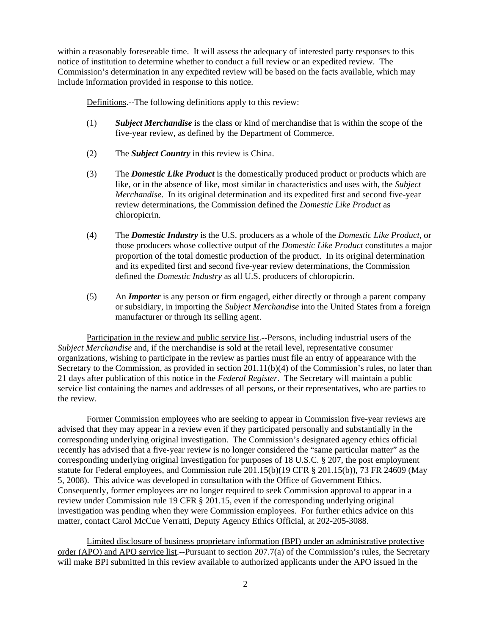within a reasonably foreseeable time. It will assess the adequacy of interested party responses to this notice of institution to determine whether to conduct a full review or an expedited review. The Commission's determination in any expedited review will be based on the facts available, which may include information provided in response to this notice.

Definitions.--The following definitions apply to this review:

- (1) *Subject Merchandise* is the class or kind of merchandise that is within the scope of the five-year review, as defined by the Department of Commerce.
- (2) The *Subject Country* in this review is China.
- (3) The *Domestic Like Product* is the domestically produced product or products which are like, or in the absence of like, most similar in characteristics and uses with, the *Subject Merchandise*. In its original determination and its expedited first and second five-year review determinations, the Commission defined the *Domestic Like Product* as chloropicrin.
- (4) The *Domestic Industry* is the U.S. producers as a whole of the *Domestic Like Product*, or those producers whose collective output of the *Domestic Like Product* constitutes a major proportion of the total domestic production of the product. In its original determination and its expedited first and second five-year review determinations, the Commission defined the *Domestic Industry* as all U.S. producers of chloropicrin.
- (5) An *Importer* is any person or firm engaged, either directly or through a parent company or subsidiary, in importing the *Subject Merchandise* into the United States from a foreign manufacturer or through its selling agent.

Participation in the review and public service list.--Persons, including industrial users of the *Subject Merchandise* and, if the merchandise is sold at the retail level, representative consumer organizations, wishing to participate in the review as parties must file an entry of appearance with the Secretary to the Commission, as provided in section 201.11(b)(4) of the Commission's rules, no later than 21 days after publication of this notice in the *Federal Register*. The Secretary will maintain a public service list containing the names and addresses of all persons, or their representatives, who are parties to the review.

Former Commission employees who are seeking to appear in Commission five-year reviews are advised that they may appear in a review even if they participated personally and substantially in the corresponding underlying original investigation. The Commission's designated agency ethics official recently has advised that a five-year review is no longer considered the "same particular matter" as the corresponding underlying original investigation for purposes of 18 U.S.C. § 207, the post employment statute for Federal employees, and Commission rule 201.15(b)(19 CFR § 201.15(b)), 73 FR 24609 (May 5, 2008). This advice was developed in consultation with the Office of Government Ethics. Consequently, former employees are no longer required to seek Commission approval to appear in a review under Commission rule 19 CFR § 201.15, even if the corresponding underlying original investigation was pending when they were Commission employees. For further ethics advice on this matter, contact Carol McCue Verratti, Deputy Agency Ethics Official, at 202-205-3088.

Limited disclosure of business proprietary information (BPI) under an administrative protective order (APO) and APO service list.--Pursuant to section 207.7(a) of the Commission's rules, the Secretary will make BPI submitted in this review available to authorized applicants under the APO issued in the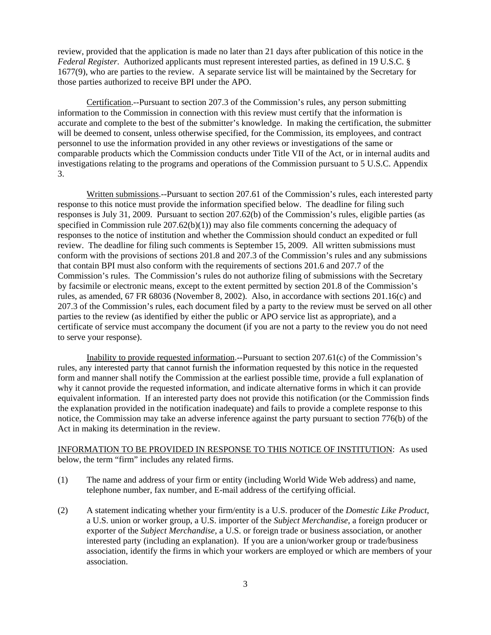review, provided that the application is made no later than 21 days after publication of this notice in the *Federal Register*. Authorized applicants must represent interested parties, as defined in 19 U.S.C. § 1677(9), who are parties to the review. A separate service list will be maintained by the Secretary for those parties authorized to receive BPI under the APO.

Certification.--Pursuant to section 207.3 of the Commission's rules, any person submitting information to the Commission in connection with this review must certify that the information is accurate and complete to the best of the submitter's knowledge. In making the certification, the submitter will be deemed to consent, unless otherwise specified, for the Commission, its employees, and contract personnel to use the information provided in any other reviews or investigations of the same or comparable products which the Commission conducts under Title VII of the Act, or in internal audits and investigations relating to the programs and operations of the Commission pursuant to 5 U.S.C. Appendix 3.

Written submissions.--Pursuant to section 207.61 of the Commission's rules, each interested party response to this notice must provide the information specified below. The deadline for filing such responses is July 31, 2009. Pursuant to section 207.62(b) of the Commission's rules, eligible parties (as specified in Commission rule 207.62(b)(1)) may also file comments concerning the adequacy of responses to the notice of institution and whether the Commission should conduct an expedited or full review. The deadline for filing such comments is September 15, 2009. All written submissions must conform with the provisions of sections 201.8 and 207.3 of the Commission's rules and any submissions that contain BPI must also conform with the requirements of sections 201.6 and 207.7 of the Commission's rules. The Commission's rules do not authorize filing of submissions with the Secretary by facsimile or electronic means, except to the extent permitted by section 201.8 of the Commission's rules, as amended, 67 FR 68036 (November 8, 2002). Also, in accordance with sections 201.16(c) and 207.3 of the Commission's rules, each document filed by a party to the review must be served on all other parties to the review (as identified by either the public or APO service list as appropriate), and a certificate of service must accompany the document (if you are not a party to the review you do not need to serve your response).

Inability to provide requested information.--Pursuant to section 207.61(c) of the Commission's rules, any interested party that cannot furnish the information requested by this notice in the requested form and manner shall notify the Commission at the earliest possible time, provide a full explanation of why it cannot provide the requested information, and indicate alternative forms in which it can provide equivalent information. If an interested party does not provide this notification (or the Commission finds the explanation provided in the notification inadequate) and fails to provide a complete response to this notice, the Commission may take an adverse inference against the party pursuant to section 776(b) of the Act in making its determination in the review.

# INFORMATION TO BE PROVIDED IN RESPONSE TO THIS NOTICE OF INSTITUTION: As used below, the term "firm" includes any related firms.

- (1) The name and address of your firm or entity (including World Wide Web address) and name, telephone number, fax number, and E-mail address of the certifying official.
- (2) A statement indicating whether your firm/entity is a U.S. producer of the *Domestic Like Product*, a U.S. union or worker group, a U.S. importer of the *Subject Merchandise*, a foreign producer or exporter of the *Subject Merchandise*, a U.S. or foreign trade or business association, or another interested party (including an explanation). If you are a union/worker group or trade/business association, identify the firms in which your workers are employed or which are members of your association.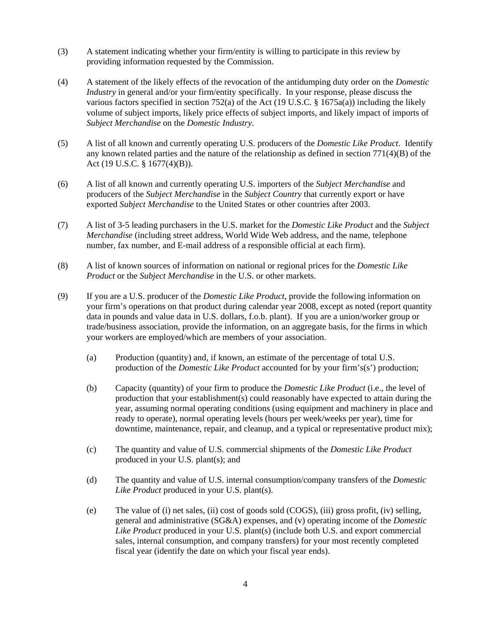- (3) A statement indicating whether your firm/entity is willing to participate in this review by providing information requested by the Commission.
- (4) A statement of the likely effects of the revocation of the antidumping duty order on the *Domestic Industry* in general and/or your firm/entity specifically. In your response, please discuss the various factors specified in section 752(a) of the Act (19 U.S.C. § 1675a(a)) including the likely volume of subject imports, likely price effects of subject imports, and likely impact of imports of *Subject Merchandise* on the *Domestic Industry*.
- (5) A list of all known and currently operating U.S. producers of the *Domestic Like Product*. Identify any known related parties and the nature of the relationship as defined in section  $771(4)(B)$  of the Act (19 U.S.C. § 1677(4)(B)).
- (6) A list of all known and currently operating U.S. importers of the *Subject Merchandise* and producers of the *Subject Merchandise* in the *Subject Country* that currently export or have exported *Subject Merchandise* to the United States or other countries after 2003.
- (7) A list of 3-5 leading purchasers in the U.S. market for the *Domestic Like Product* and the *Subject Merchandise* (including street address, World Wide Web address, and the name, telephone number, fax number, and E-mail address of a responsible official at each firm).
- (8) A list of known sources of information on national or regional prices for the *Domestic Like Product* or the *Subject Merchandise* in the U.S. or other markets.
- (9) If you are a U.S. producer of the *Domestic Like Product*, provide the following information on your firm's operations on that product during calendar year 2008, except as noted (report quantity data in pounds and value data in U.S. dollars, f.o.b. plant). If you are a union/worker group or trade/business association, provide the information, on an aggregate basis, for the firms in which your workers are employed/which are members of your association.
	- (a) Production (quantity) and, if known, an estimate of the percentage of total U.S. production of the *Domestic Like Product* accounted for by your firm's(s') production;
	- (b) Capacity (quantity) of your firm to produce the *Domestic Like Product* (i.e., the level of production that your establishment(s) could reasonably have expected to attain during the year, assuming normal operating conditions (using equipment and machinery in place and ready to operate), normal operating levels (hours per week/weeks per year), time for downtime, maintenance, repair, and cleanup, and a typical or representative product mix);
	- (c) The quantity and value of U.S. commercial shipments of the *Domestic Like Product* produced in your U.S. plant(s); and
	- (d) The quantity and value of U.S. internal consumption/company transfers of the *Domestic Like Product* produced in your U.S. plant(s).
	- (e) The value of (i) net sales, (ii) cost of goods sold (COGS), (iii) gross profit, (iv) selling, general and administrative (SG&A) expenses, and (v) operating income of the *Domestic Like Product* produced in your U.S. plant(s) (include both U.S. and export commercial sales, internal consumption, and company transfers) for your most recently completed fiscal year (identify the date on which your fiscal year ends).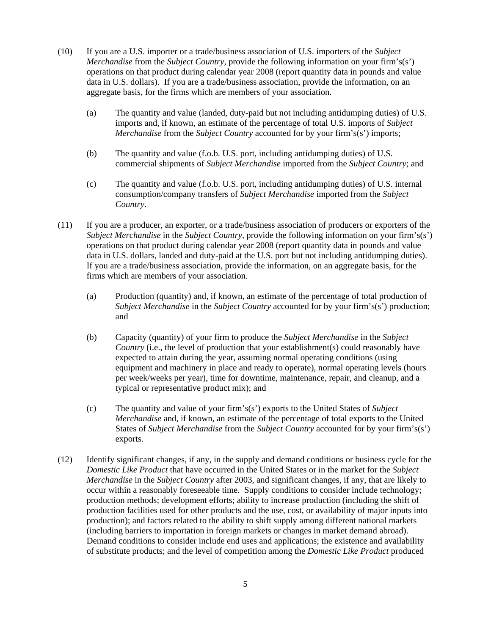- (10) If you are a U.S. importer or a trade/business association of U.S. importers of the *Subject Merchandise* from the *Subject Country*, provide the following information on your firm's(s') operations on that product during calendar year 2008 (report quantity data in pounds and value data in U.S. dollars). If you are a trade/business association, provide the information, on an aggregate basis, for the firms which are members of your association.
	- (a) The quantity and value (landed, duty-paid but not including antidumping duties) of U.S. imports and, if known, an estimate of the percentage of total U.S. imports of *Subject Merchandise* from the *Subject Country* accounted for by your firm's(s') imports;
	- (b) The quantity and value (f.o.b. U.S. port, including antidumping duties) of U.S. commercial shipments of *Subject Merchandise* imported from the *Subject Country*; and
	- (c) The quantity and value (f.o.b. U.S. port, including antidumping duties) of U.S. internal consumption/company transfers of *Subject Merchandise* imported from the *Subject Country*.
- (11) If you are a producer, an exporter, or a trade/business association of producers or exporters of the *Subject Merchandise* in the *Subject Country*, provide the following information on your firm's(s') operations on that product during calendar year 2008 (report quantity data in pounds and value data in U.S. dollars, landed and duty-paid at the U.S. port but not including antidumping duties). If you are a trade/business association, provide the information, on an aggregate basis, for the firms which are members of your association.
	- (a) Production (quantity) and, if known, an estimate of the percentage of total production of *Subject Merchandise* in the *Subject Country* accounted for by your firm's(s') production; and
	- (b) Capacity (quantity) of your firm to produce the *Subject Merchandise* in the *Subject Country* (i.e., the level of production that your establishment(s) could reasonably have expected to attain during the year, assuming normal operating conditions (using equipment and machinery in place and ready to operate), normal operating levels (hours per week/weeks per year), time for downtime, maintenance, repair, and cleanup, and a typical or representative product mix); and
	- (c) The quantity and value of your firm's(s') exports to the United States of *Subject Merchandise* and, if known, an estimate of the percentage of total exports to the United States of *Subject Merchandise* from the *Subject Country* accounted for by your firm's(s') exports.
- (12) Identify significant changes, if any, in the supply and demand conditions or business cycle for the *Domestic Like Product* that have occurred in the United States or in the market for the *Subject Merchandise* in the *Subject Country* after 2003, and significant changes, if any, that are likely to occur within a reasonably foreseeable time. Supply conditions to consider include technology; production methods; development efforts; ability to increase production (including the shift of production facilities used for other products and the use, cost, or availability of major inputs into production); and factors related to the ability to shift supply among different national markets (including barriers to importation in foreign markets or changes in market demand abroad). Demand conditions to consider include end uses and applications; the existence and availability of substitute products; and the level of competition among the *Domestic Like Product* produced